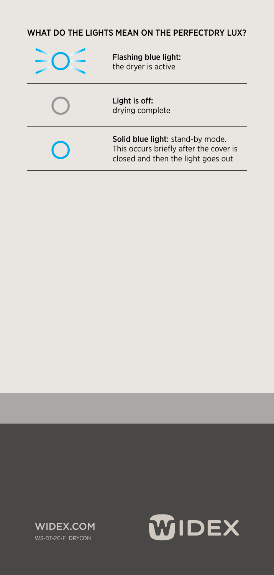## WHAT DO THE LIGHTS MEAN ON THE PERFECTDRY LUX? MEAN ON THE PERFECTDRY LUX?

| Flashing blue light:<br>the dryer is active                                                                      |  |
|------------------------------------------------------------------------------------------------------------------|--|
| Light is off:<br>drying complete                                                                                 |  |
| Solid blue light: stand-by mode.<br>This occurs briefly after the cover is<br>closed and then the light goes out |  |
|                                                                                                                  |  |



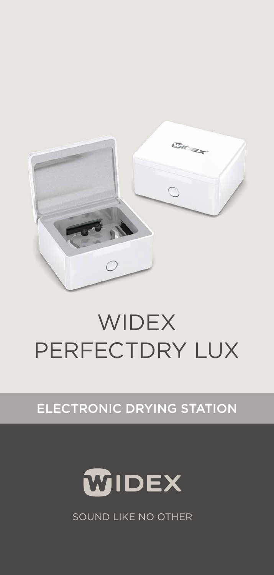

# **WIDEX** PERFECTDRY LUX

### ELECTRONIC DRYING STATION



SOUND LIKE NO OTHER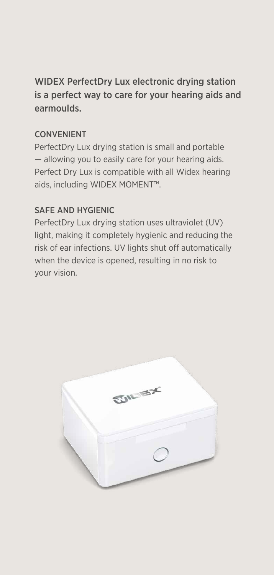WIDEX PerfectDry Lux electronic drying station is a perfect way to care for your hearing aids and earmoulds.

#### CONVENIENT

PerfectDry Lux drying station is small and portable — allowing you to easily care for your hearing aids. Perfect Dry Lux is compatible with all Widex hearing aids, including WIDEX MOMENT™.

#### SAFE AND HYGIENIC

PerfectDry Lux drying station uses ultraviolet (UV) light, making it completely hygienic and reducing the risk of ear infections. UV lights shut off automatically when the device is opened, resulting in no risk to your vision.